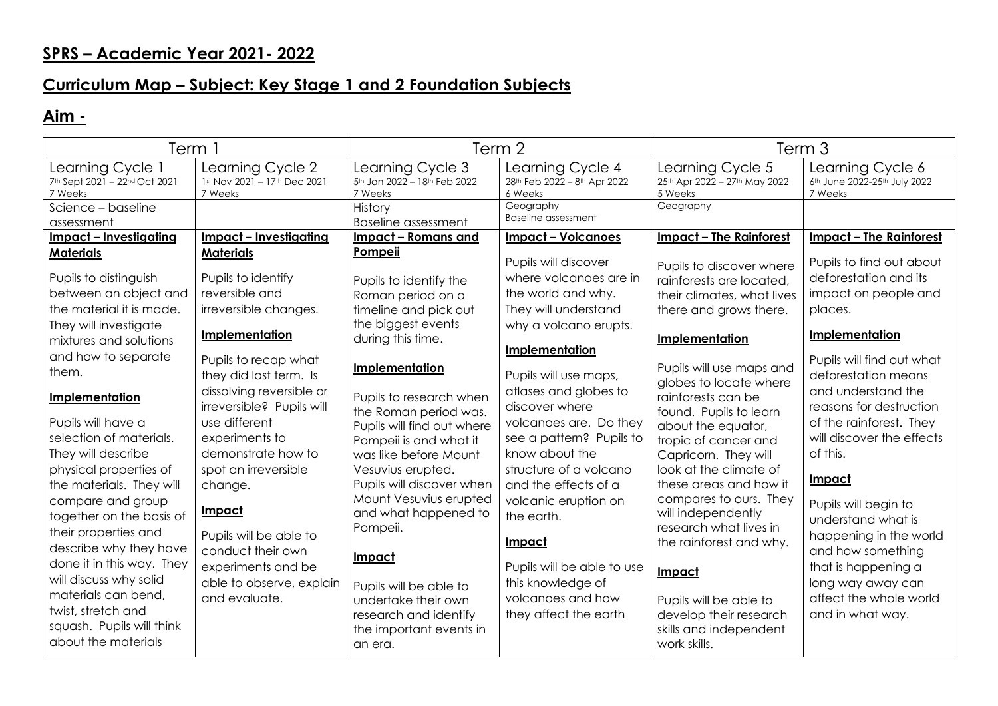## **Curriculum Map – Subject: Key Stage 1 and 2 Foundation Subjects**

## **Aim -**

| Term 1                                                                                                                                                                                                                                                                                                                                                                                                          |                                                                                                                                                                                                                                                                                                                                        | Term 2                                                                                                                                                                                                                                                                                                                                                         |                                                                                                                                                                                                                                                                                                                                                               | Term 3                                                                                                                                                                                                                                                                                                                                                                                          |                                                                                                                                                                                                                                                                                                                                                                        |
|-----------------------------------------------------------------------------------------------------------------------------------------------------------------------------------------------------------------------------------------------------------------------------------------------------------------------------------------------------------------------------------------------------------------|----------------------------------------------------------------------------------------------------------------------------------------------------------------------------------------------------------------------------------------------------------------------------------------------------------------------------------------|----------------------------------------------------------------------------------------------------------------------------------------------------------------------------------------------------------------------------------------------------------------------------------------------------------------------------------------------------------------|---------------------------------------------------------------------------------------------------------------------------------------------------------------------------------------------------------------------------------------------------------------------------------------------------------------------------------------------------------------|-------------------------------------------------------------------------------------------------------------------------------------------------------------------------------------------------------------------------------------------------------------------------------------------------------------------------------------------------------------------------------------------------|------------------------------------------------------------------------------------------------------------------------------------------------------------------------------------------------------------------------------------------------------------------------------------------------------------------------------------------------------------------------|
| Learning Cycle 1<br>7th Sept 2021 - 22nd Oct 2021<br>7 Weeks                                                                                                                                                                                                                                                                                                                                                    | Learning Cycle 2<br>1st Nov 2021 - 17th Dec 2021<br>7 Weeks                                                                                                                                                                                                                                                                            | Learning Cycle 3<br>5th Jan 2022 - 18th Feb 2022<br>7 Weeks                                                                                                                                                                                                                                                                                                    | Learning Cycle 4<br>28th Feb 2022 - 8th Apr 2022<br>6 Weeks                                                                                                                                                                                                                                                                                                   | Learning Cycle 5<br>25th Apr 2022 - 27th May 2022<br>5 Weeks                                                                                                                                                                                                                                                                                                                                    | Learning Cycle 6<br>6th June 2022-25th July 2022<br>7 Weeks                                                                                                                                                                                                                                                                                                            |
| Science - baseline<br>assessment                                                                                                                                                                                                                                                                                                                                                                                |                                                                                                                                                                                                                                                                                                                                        | History<br><b>Baseline assessment</b>                                                                                                                                                                                                                                                                                                                          | Geography<br><b>Baseline assessment</b>                                                                                                                                                                                                                                                                                                                       | Geography                                                                                                                                                                                                                                                                                                                                                                                       |                                                                                                                                                                                                                                                                                                                                                                        |
| Impact - Investigating                                                                                                                                                                                                                                                                                                                                                                                          | <u>Impact - Investigating</u>                                                                                                                                                                                                                                                                                                          | Impact – Romans and                                                                                                                                                                                                                                                                                                                                            | <b>Impact - Volcanoes</b>                                                                                                                                                                                                                                                                                                                                     | <b>Impact - The Rainforest</b>                                                                                                                                                                                                                                                                                                                                                                  | Impact - The Rainforest                                                                                                                                                                                                                                                                                                                                                |
| <b>Materials</b>                                                                                                                                                                                                                                                                                                                                                                                                | <b>Materials</b>                                                                                                                                                                                                                                                                                                                       | Pompeii                                                                                                                                                                                                                                                                                                                                                        | Pupils will discover                                                                                                                                                                                                                                                                                                                                          | Pupils to discover where                                                                                                                                                                                                                                                                                                                                                                        | Pupils to find out about                                                                                                                                                                                                                                                                                                                                               |
| Pupils to distinguish                                                                                                                                                                                                                                                                                                                                                                                           | Pupils to identify                                                                                                                                                                                                                                                                                                                     | Pupils to identify the                                                                                                                                                                                                                                                                                                                                         | where volcanoes are in                                                                                                                                                                                                                                                                                                                                        | rainforests are located,                                                                                                                                                                                                                                                                                                                                                                        | deforestation and its                                                                                                                                                                                                                                                                                                                                                  |
| between an object and                                                                                                                                                                                                                                                                                                                                                                                           | reversible and                                                                                                                                                                                                                                                                                                                         | Roman period on a                                                                                                                                                                                                                                                                                                                                              | the world and why.                                                                                                                                                                                                                                                                                                                                            | their climates, what lives                                                                                                                                                                                                                                                                                                                                                                      | impact on people and                                                                                                                                                                                                                                                                                                                                                   |
| the material it is made.                                                                                                                                                                                                                                                                                                                                                                                        | irreversible changes.                                                                                                                                                                                                                                                                                                                  | timeline and pick out                                                                                                                                                                                                                                                                                                                                          | They will understand                                                                                                                                                                                                                                                                                                                                          | there and grows there.                                                                                                                                                                                                                                                                                                                                                                          | places.                                                                                                                                                                                                                                                                                                                                                                |
| They will investigate<br>mixtures and solutions                                                                                                                                                                                                                                                                                                                                                                 | Implementation                                                                                                                                                                                                                                                                                                                         | the biggest events<br>during this time.                                                                                                                                                                                                                                                                                                                        | why a volcano erupts.                                                                                                                                                                                                                                                                                                                                         | Implementation                                                                                                                                                                                                                                                                                                                                                                                  | Implementation                                                                                                                                                                                                                                                                                                                                                         |
| and how to separate<br>them.<br>Implementation<br>Pupils will have a<br>selection of materials.<br>They will describe<br>physical properties of<br>the materials. They will<br>compare and group<br>together on the basis of<br>their properties and<br>describe why they have<br>done it in this way. They<br>will discuss why solid<br>materials can bend.<br>twist, stretch and<br>squash. Pupils will think | Pupils to recap what<br>they did last term. Is<br>dissolving reversible or<br>irreversible? Pupils will<br>use different<br>experiments to<br>demonstrate how to<br>spot an irreversible<br>change.<br><b>Impact</b><br>Pupils will be able to<br>conduct their own<br>experiments and be<br>able to observe, explain<br>and evaluate. | Implementation<br>Pupils to research when<br>the Roman period was.<br>Pupils will find out where<br>Pompeii is and what it<br>was like before Mount<br>Vesuvius erupted.<br>Pupils will discover when<br>Mount Vesuvius erupted<br>and what happened to<br>Pompeii.<br><u>Impact</u><br>Pupils will be able to<br>undertake their own<br>research and identify | Implementation<br>Pupils will use maps,<br>atlases and globes to<br>discover where<br>volcanoes are. Do they<br>see a pattern? Pupils to<br>know about the<br>structure of a volcano<br>and the effects of a<br>volcanic eruption on<br>the earth.<br>Impact<br>Pupils will be able to use<br>this knowledge of<br>volcanoes and how<br>they affect the earth | Pupils will use maps and<br>globes to locate where<br>rainforests can be<br>found. Pupils to learn<br>about the equator,<br>tropic of cancer and<br>Capricorn. They will<br>look at the climate of<br>these areas and how it<br>compares to ours. They<br>will independently<br>research what lives in<br>the rainforest and why.<br>Impact<br>Pupils will be able to<br>develop their research | Pupils will find out what<br>deforestation means<br>and understand the<br>reasons for destruction<br>of the rainforest. They<br>will discover the effects<br>of this.<br>Impact<br>Pupils will begin to<br>understand what is<br>happening in the world<br>and how something<br>that is happening a<br>long way away can<br>affect the whole world<br>and in what way. |